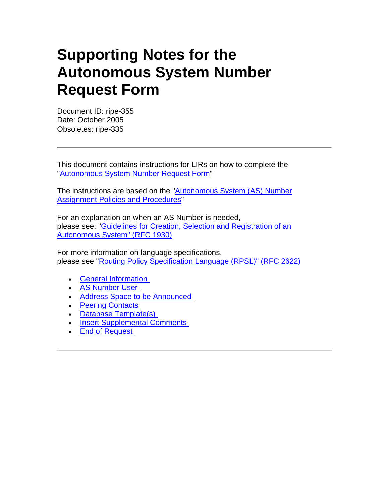# **Supporting Notes for the Autonomous System Number Request Form**

Document ID: ripe-355 Date: October 2005 Obsoletes: ripe-335

This document contains instructions for LIRs on how to complete the ["Autonomous System Number Request Form](http://www.ripe.net/ripe/docs/asnrequestform.html)"

The instructions are based on the "[Autonomous System \(AS\) Number](http://www.ripe.net/ripe/docs/asn-assignment.html)  [Assignment Policies and Procedures](http://www.ripe.net/ripe/docs/asn-assignment.html)"

For an explanation on when an AS Number is needed, please see: ["Guidelines for Creation, Selection and Registration of an](ftp://ftp.ripe.net/rfc/rfc1930.txt)  [Autonomous System" \(RFC 1930\)](ftp://ftp.ripe.net/rfc/rfc1930.txt) 

For more information on language specifications, please see "[Routing Policy Specification Language \(RPSL\)" \(RFC 2622\)](ftp://ftp.ripe.net/rfc/rfc2622.txt)

- **General Information**
- **AS Number User**
- Address Space to be Announced
- Peering Contacts
- Database Template(s)
- **Insert Supplemental Comments**
- End of Request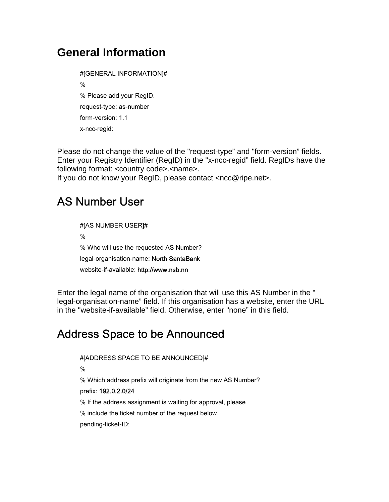#### **General Information**

#[GENERAL INFORMATION]# % % Please add your RegID. request-type: as-number form-version: 1.1 x-ncc-regid:

Please do not change the value of the "request-type" and "form-version" fields. Enter your Registry Identifier (RegID) in the "x-ncc-regid" field. RegIDs have the following format: <country code>.<name>.

If you do not know your RegID, please contact <ncc@ripe.net>.

## AS Number User

#[AS NUMBER USER]# % % Who will use the requested AS Number? legal-organisation-name: North SantaBank website-if-available: http://www.nsb.nn

Enter the legal name of the organisation that will use this AS Number in the " legal-organisation-name" field. If this organisation has a website, enter the URL in the "website-if-available" field. Otherwise, enter "none" in this field.

#### Address Space to be Announced

#[ADDRESS SPACE TO BE ANNOUNCED]#

%

% Which address prefix will originate from the new AS Number?

prefix: 192.0.2.0/24

% If the address assignment is waiting for approval, please

% include the ticket number of the request below.

pending-ticket-ID: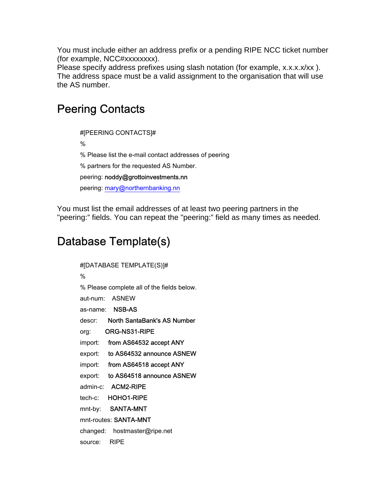You must include either an address prefix or a pending RIPE NCC ticket number (for example, NCC#xxxxxxxx).

Please specify address prefixes using slash notation (for example, x.x.x.x/xx). The address space must be a valid assignment to the organisation that will use the AS number.

#### Peering Contacts

#[PEERING CONTACTS]#

%

% Please list the e-mail contact addresses of peering

% partners for the requested AS Number.

peering: noddy@grottoinvestments.nn

peering: [mary@northernbanking.nn](mailto:mary@northernbanking.nn)

You must list the email addresses of at least two peering partners in the "peering:" fields. You can repeat the "peering:" field as many times as needed.

# Database Template(s)

| #[DATABASE TEMPLATE(S)]#                   |
|--------------------------------------------|
| %                                          |
| % Please complete all of the fields below. |
| aut-num: ASNEW                             |
| as-name: <b>NSB-AS</b>                     |
| North SantaBank's AS Number<br>descr: I    |
| ORG-NS31-RIPE<br>org:                      |
| import:<br>from AS64532 accept ANY         |
| to AS64532 announce ASNEW<br>export:       |
| from AS64518 accept ANY<br>import:         |
| to AS64518 announce ASNEW<br>export:       |
| admin-c: <b>ACM2-RIPE</b>                  |
| HOHO1-RIPE<br>tech-c:                      |
| SANTA-MNT<br>mnt-by:                       |
| mnt-routes: SANTA-MNT                      |
| changed: hostmaster@ripe.net               |
| <b>RIPE</b><br>source:                     |
|                                            |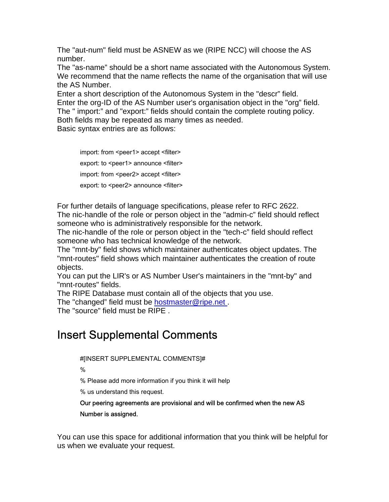The "aut-num" field must be ASNEW as we (RIPE NCC) will choose the AS number.

The "as-name" should be a short name associated with the Autonomous System. We recommend that the name reflects the name of the organisation that will use the AS Number.

Enter a short description of the Autonomous System in the "descr" field. Enter the org-ID of the AS Number user's organisation object in the "org" field. The " import:" and "export:" fields should contain the complete routing policy. Both fields may be repeated as many times as needed.

Basic syntax entries are as follows:

import: from <peer1> accept <filter> export: to <peer1> announce <filter> import: from <peer2> accept <filter> export: to <peer2> announce <filter>

For further details of language specifications, please refer to RFC 2622.

The nic-handle of the role or person object in the "admin-c" field should reflect someone who is administratively responsible for the network.

The nic-handle of the role or person object in the "tech-c" field should reflect someone who has technical knowledge of the network.

The "mnt-by" field shows which maintainer authenticates object updates. The "mnt-routes" field shows which maintainer authenticates the creation of route objects.

You can put the LIR's or AS Number User's maintainers in the "mnt-by" and "mnt-routes" fields.

The RIPE Database must contain all of the objects that you use.

The "changed" field must be [hostmaster@ripe.net .](mailto:hostmaster@ripe.net)

The "source" field must be RIPE .

## Insert Supplemental Comments

#[INSERT SUPPLEMENTAL COMMENTS]#

%

% Please add more information if you think it will help

% us understand this request.

Our peering agreements are provisional and will be confirmed when the new AS Number is assigned.

You can use this space for additional information that you think will be helpful for us when we evaluate your request.